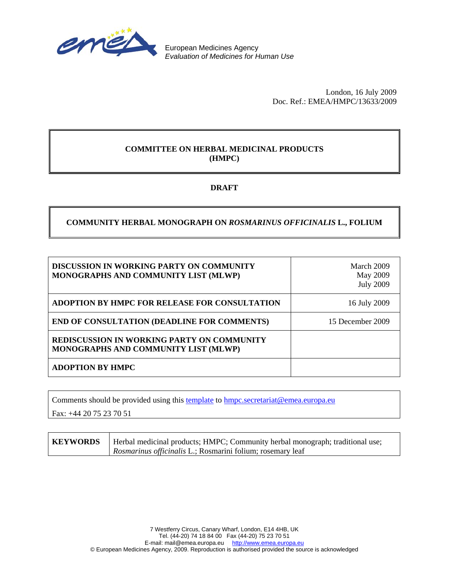

European Medicines Agency *Evaluation of Medicines for Human Use* 

> London, 16 July 2009 Doc. Ref.: EMEA/HMPC/13633/2009

### **COMMITTEE ON HERBAL MEDICINAL PRODUCTS (HMPC)**

## **DRAFT**

## **COMMUNITY HERBAL MONOGRAPH ON** *ROSMARINUS OFFICINALIS* **L., FOLIUM**

| <b>DISCUSSION IN WORKING PARTY ON COMMUNITY</b><br>MONOGRAPHS AND COMMUNITY LIST (MLWP) | March 2009<br>May 2009<br><b>July 2009</b> |
|-----------------------------------------------------------------------------------------|--------------------------------------------|
| ADOPTION BY HMPC FOR RELEASE FOR CONSULTATION                                           | 16 July 2009                               |
| <b>END OF CONSULTATION (DEADLINE FOR COMMENTS)</b>                                      | 15 December 2009                           |
| REDISCUSSION IN WORKING PARTY ON COMMUNITY<br>MONOGRAPHS AND COMMUNITY LIST (MLWP)      |                                            |
| <b>ADOPTION BY HMPC</b>                                                                 |                                            |

Comments should be provided using this [template](http://www.emea.europa.eu/pdfs/human/hmpc/template_submission_monograph_comments.doc) to [hmpc.secretariat@emea.europa.eu](mailto:hmpc.secretariat@emea.europa.eu)

Fax: +44 20 75 23 70 51

**KEYWORDS** | Herbal medicinal products; HMPC; Community herbal monograph; traditional use; *Rosmarinus officinalis* L.; Rosmarini folium; rosemary leaf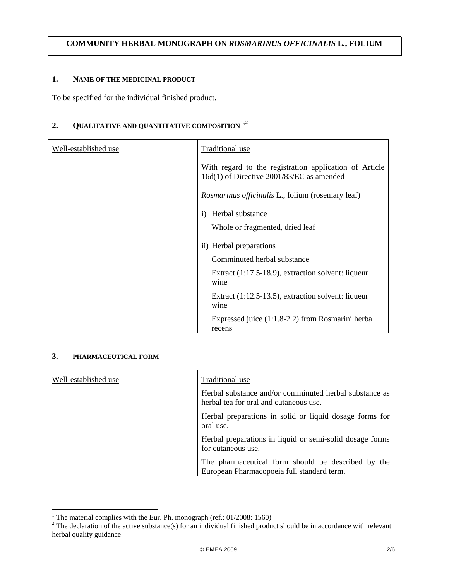#### **COMMUNITY HERBAL MONOGRAPH ON** *ROSMARINUS OFFICINALIS* **L***.***, FOLIUM**

#### **1. NAME OF THE MEDICINAL PRODUCT**

To be specified for the individual finished product.

# **2. QUALITATIVE AND QUANTITATIVE COMPOSITION[1](#page-1-0),[2](#page-1-1)**

| Well-established use | Traditional use                                                                                     |
|----------------------|-----------------------------------------------------------------------------------------------------|
|                      | With regard to the registration application of Article<br>16d(1) of Directive 2001/83/EC as amended |
|                      | <i>Rosmarinus officinalis</i> L., folium (rosemary leaf)                                            |
|                      | Herbal substance<br>$\bf{1)}$                                                                       |
|                      | Whole or fragmented, dried leaf                                                                     |
|                      | ii) Herbal preparations                                                                             |
|                      | Comminuted herbal substance                                                                         |
|                      | Extract $(1:17.5-18.9)$ , extraction solvent: liqueur<br>wine                                       |
|                      | Extract $(1:12.5-13.5)$ , extraction solvent: liqueur<br>wine                                       |
|                      | Expressed juice (1:1.8-2.2) from Rosmarini herba<br>recens                                          |

#### **3. PHARMACEUTICAL FORM**

| Well-established use | Traditional use                                                                                  |
|----------------------|--------------------------------------------------------------------------------------------------|
|                      | Herbal substance and/or comminuted herbal substance as<br>herbal tea for oral and cutaneous use. |
|                      | Herbal preparations in solid or liquid dosage forms for<br>oral use.                             |
|                      | Herbal preparations in liquid or semi-solid dosage forms<br>for cutaneous use.                   |
|                      | The pharmaceutical form should be described by the<br>European Pharmacopoeia full standard term. |

<span id="page-1-1"></span><span id="page-1-0"></span>

<sup>&</sup>lt;sup>1</sup> The material complies with the Eur. Ph. monograph (ref.: 01/2008: 1560)<br><sup>2</sup> The declaration of the active substance(s) for an individual finished product should be in accordance with relevant herbal quality guidance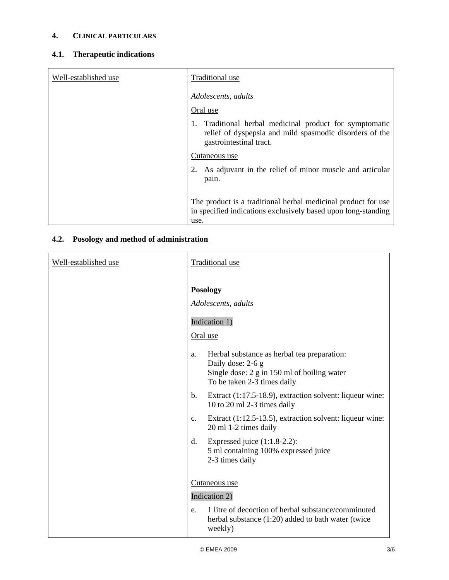# **4. CLINICAL PARTICULARS**

# **4.1. Therapeutic indications**

| Well-established use | Traditional use                                                                                                                                  |
|----------------------|--------------------------------------------------------------------------------------------------------------------------------------------------|
|                      | Adolescents, adults                                                                                                                              |
|                      | Oral use                                                                                                                                         |
|                      | Traditional herbal medicinal product for symptomatic<br>1.<br>relief of dyspepsia and mild spasmodic disorders of the<br>gastrointestinal tract. |
|                      | Cutaneous use                                                                                                                                    |
|                      | 2. As adjuvant in the relief of minor muscle and articular<br>pain.                                                                              |
|                      | The product is a traditional herbal medicinal product for use<br>in specified indications exclusively based upon long-standing<br>use.           |

# **4.2. Posology and method of administration**

| Well-established use | <b>Traditional use</b>                                                                                                                               |
|----------------------|------------------------------------------------------------------------------------------------------------------------------------------------------|
|                      | <b>Posology</b><br>Adolescents, adults<br>Indication 1)<br>Oral use                                                                                  |
|                      | Herbal substance as herbal tea preparation:<br>a.<br>Daily dose: 2-6 g<br>Single dose: 2 g in 150 ml of boiling water<br>To be taken 2-3 times daily |
|                      | Extract (1:17.5-18.9), extraction solvent: liqueur wine:<br>$\mathbf{b}$ .<br>10 to 20 ml 2-3 times daily                                            |
|                      | Extract (1:12.5-13.5), extraction solvent: liqueur wine:<br>c.<br>20 ml 1-2 times daily                                                              |
|                      | Expressed juice $(1:1.8-2.2)$ :<br>d.<br>5 ml containing 100% expressed juice<br>2-3 times daily                                                     |
|                      | Cutaneous use                                                                                                                                        |
|                      | Indication 2)                                                                                                                                        |
|                      | 1 litre of decoction of herbal substance/comminuted<br>e.<br>herbal substance $(1:20)$ added to bath water (twice<br>weekly)                         |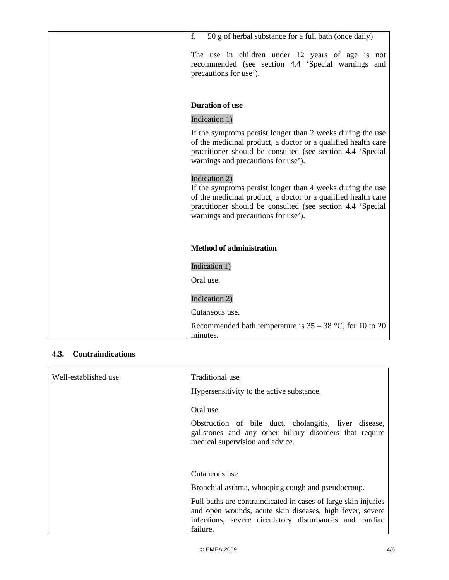| f.<br>50 g of herbal substance for a full bath (once daily)                                                                                                                                                                                       |
|---------------------------------------------------------------------------------------------------------------------------------------------------------------------------------------------------------------------------------------------------|
| The use in children under 12 years of age is not<br>recommended (see section 4.4 'Special warnings and<br>precautions for use').                                                                                                                  |
| <b>Duration of use</b>                                                                                                                                                                                                                            |
| Indication 1)                                                                                                                                                                                                                                     |
| If the symptoms persist longer than 2 weeks during the use<br>of the medicinal product, a doctor or a qualified health care<br>practitioner should be consulted (see section 4.4 'Special<br>warnings and precautions for use').                  |
| Indication 2)<br>If the symptoms persist longer than 4 weeks during the use<br>of the medicinal product, a doctor or a qualified health care<br>practitioner should be consulted (see section 4.4 'Special<br>warnings and precautions for use'). |
| <b>Method of administration</b>                                                                                                                                                                                                                   |
| Indication 1)                                                                                                                                                                                                                                     |
| Oral use.                                                                                                                                                                                                                                         |
| Indication 2)                                                                                                                                                                                                                                     |
| Cutaneous use.                                                                                                                                                                                                                                    |
| Recommended bath temperature is $35 - 38$ °C, for 10 to 20<br>minutes.                                                                                                                                                                            |

# **4.3. Contraindications**

| Well-established use | Traditional use                                                                                                                                                                                   |
|----------------------|---------------------------------------------------------------------------------------------------------------------------------------------------------------------------------------------------|
|                      | Hypersensitivity to the active substance.                                                                                                                                                         |
|                      | Oral use                                                                                                                                                                                          |
|                      | Obstruction of bile duct, cholangitis, liver disease,<br>gallstones and any other biliary disorders that require<br>medical supervision and advice.                                               |
|                      | Cutaneous use                                                                                                                                                                                     |
|                      | Bronchial asthma, whooping cough and pseudocroup.                                                                                                                                                 |
|                      | Full baths are contraindicated in cases of large skin injuries<br>and open wounds, acute skin diseases, high fever, severe<br>infections, severe circulatory disturbances and cardiac<br>failure. |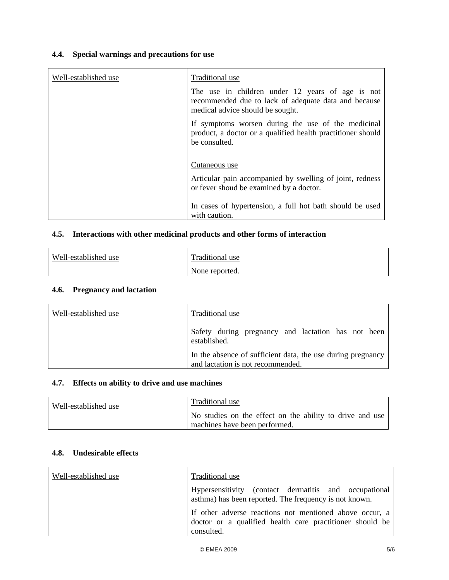# **4.4. Special warnings and precautions for use**

| Well-established use | Traditional use                                                                                                                              |
|----------------------|----------------------------------------------------------------------------------------------------------------------------------------------|
|                      | The use in children under 12 years of age is not<br>recommended due to lack of adequate data and because<br>medical advice should be sought. |
|                      | If symptoms worsen during the use of the medicinal<br>product, a doctor or a qualified health practitioner should<br>be consulted.           |
|                      | Cutaneous use                                                                                                                                |
|                      | Articular pain accompanied by swelling of joint, redness<br>or fever shoud be examined by a doctor.                                          |
|                      | In cases of hypertension, a full hot bath should be used<br>with caution.                                                                    |

### **4.5. Interactions with other medicinal products and other forms of interaction**

| Well-established use | Traditional use |
|----------------------|-----------------|
|                      | None reported.  |

### **4.6. Pregnancy and lactation**

| Well-established use | Traditional use                                                                                  |
|----------------------|--------------------------------------------------------------------------------------------------|
|                      | Safety during pregnancy and lactation has not been<br>established.                               |
|                      | In the absence of sufficient data, the use during pregnancy<br>and lactation is not recommended. |

## **4.7. Effects on ability to drive and use machines**

| Well-established use | Traditional use                                                                           |
|----------------------|-------------------------------------------------------------------------------------------|
|                      | No studies on the effect on the ability to drive and use<br>machines have been performed. |

#### **4.8. Undesirable effects**

| Well-established use | Traditional use                                                                                                                   |
|----------------------|-----------------------------------------------------------------------------------------------------------------------------------|
|                      | Hypersensitivity (contact dermatitis and occupational<br>asthma) has been reported. The frequency is not known.                   |
|                      | If other adverse reactions not mentioned above occur, a<br>doctor or a qualified health care practitioner should be<br>consulted. |